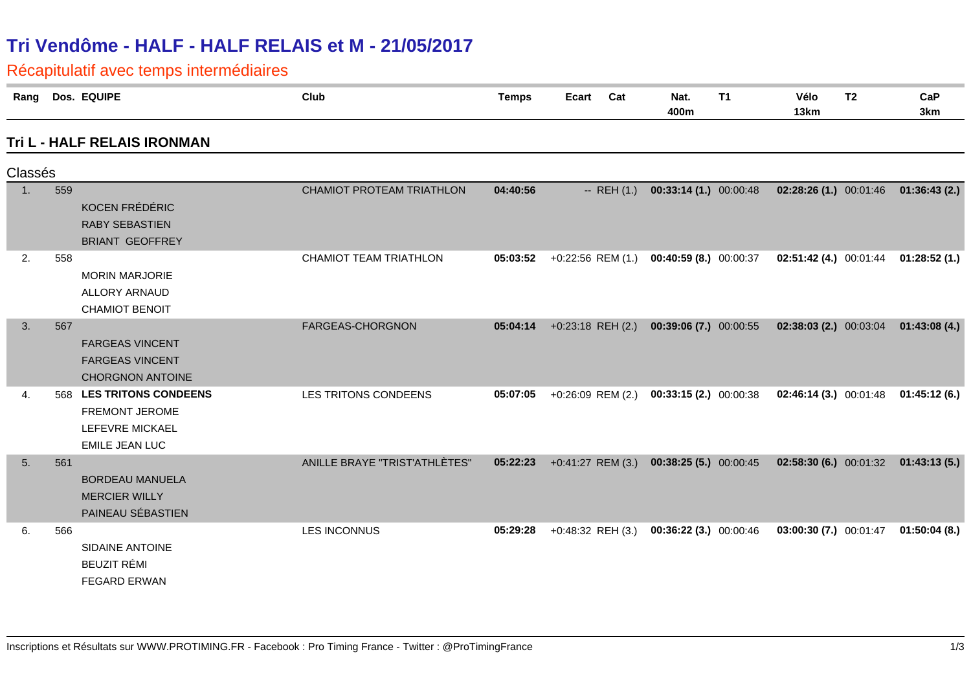# **Tri Vendôme - HALF - HALF RELAIS et M - 21/05/2017**

Récapitulatif avec temps intermédiaires

| Rang             |     | Dos. EQUIPE                                                                               | Club                          | <b>Temps</b> | Ecart<br>Cat                               | Nat.<br>400m            | <b>T1</b> | Vélo<br>13km                             | T <sub>2</sub> | CaP<br>3km   |
|------------------|-----|-------------------------------------------------------------------------------------------|-------------------------------|--------------|--------------------------------------------|-------------------------|-----------|------------------------------------------|----------------|--------------|
|                  |     | Tri L - HALF RELAIS IRONMAN                                                               |                               |              |                                            |                         |           |                                          |                |              |
| Classés          |     |                                                                                           |                               |              |                                            |                         |           |                                          |                |              |
| $\overline{1}$ . | 559 | <b>KOCEN FRÉDÉRIC</b><br><b>RABY SEBASTIEN</b><br><b>BRIANT GEOFFREY</b>                  | CHAMIOT PROTEAM TRIATHLON     | 04:40:56     | $-$ REH $(1.)$                             | $00:33:14(1.)$ 00:00:48 |           | $02:28:26(1.)$ 00:01:46                  |                | 01:36:43(2.) |
| 2.               | 558 | <b>MORIN MARJORIE</b><br>ALLORY ARNAUD<br><b>CHAMIOT BENOIT</b>                           | CHAMIOT TEAM TRIATHLON        | 05:03:52     | $+0:22:56$ REM (1.) 00:40:59 (8.) 00:00:37 |                         |           | $02:51:42(4.)$ $00:01:44$ $01:28:52(1.)$ |                |              |
| 3.               | 567 | <b>FARGEAS VINCENT</b><br><b>FARGEAS VINCENT</b><br><b>CHORGNON ANTOINE</b>               | FARGEAS-CHORGNON              | 05:04:14     | $+0:23:18$ REH $(2.)$                      | 00:39:06 (7.) 00:00:55  |           | $02:38:03(2.)$ $00:03:04$                |                | 01:43:08(4.) |
| 4.               | 568 | <b>LES TRITONS CONDEENS</b><br>FREMONT JEROME<br>LEFEVRE MICKAEL<br><b>EMILE JEAN LUC</b> | LES TRITONS CONDEENS          | 05:07:05     | $+0.26.09$ REM (2.) 00:33:15 (2.) 00:00:38 |                         |           | $02:46:14(3.)$ $00:01:48$                |                | 01:45:12(6.) |
| 5.               | 561 | <b>BORDEAU MANUELA</b><br><b>MERCIER WILLY</b><br>PAINEAU SÉBASTIEN                       | ANILLE BRAYE "TRIST'ATHLÈTES" | 05:22:23     | +0:41:27 REM (3.) 00:38:25 (5.) 00:00:45   |                         |           | $02:58:30(6.)$ 00:01:32                  |                | 01:43:13(5.) |
| 6.               | 566 | <b>SIDAINE ANTOINE</b><br><b>BEUZIT RÉMI</b><br><b>FEGARD ERWAN</b>                       | <b>LES INCONNUS</b>           | 05:29:28     | +0:48:32 REH (3.)                          | 00:36:22 (3.) 00:00:46  |           | 03:00:30 (7.) 00:01:47                   |                | 01:50:04(8.) |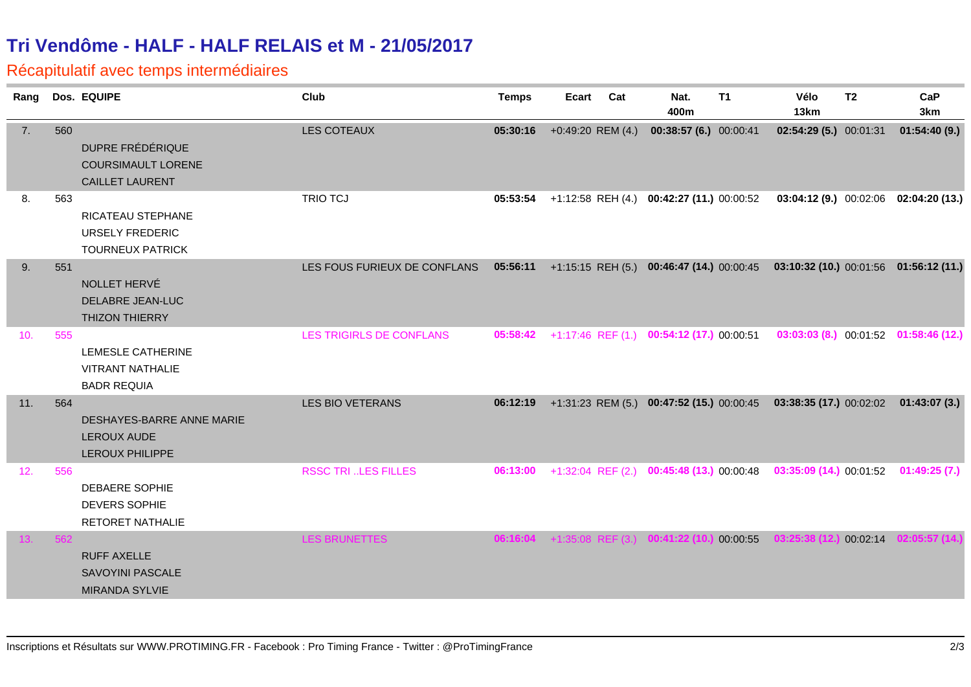## **Tri Vendôme - HALF - HALF RELAIS et M - 21/05/2017**

#### Récapitulatif avec temps intermédiaires

| Ranq |     | Dos. EQUIPE                                                             | Club                         | <b>Temps</b> | Ecart                 | Cat | Nat.<br>400m                                       | <b>T1</b> | Vélo<br>13km                                                                    | <b>T2</b> | CaP<br>3km                            |
|------|-----|-------------------------------------------------------------------------|------------------------------|--------------|-----------------------|-----|----------------------------------------------------|-----------|---------------------------------------------------------------------------------|-----------|---------------------------------------|
| 7.   | 560 | DUPRE FRÉDÉRIQUE<br><b>COURSIMAULT LORENE</b><br><b>CAILLET LAURENT</b> | LES COTEAUX                  | 05:30:16     | $+0.49:20$ REM $(4.)$ |     | 00:38:57 (6.) 00:00:41                             |           | 02:54:29 (5.) 00:01:31                                                          |           | 01:54:40(9.)                          |
| 8.   | 563 | RICATEAU STEPHANE<br><b>URSELY FREDERIC</b><br><b>TOURNEUX PATRICK</b>  | <b>TRIO TCJ</b>              | 05:53:54     |                       |     | +1:12:58 REH (4.) 00:42:27 (11.) 00:00:52          |           |                                                                                 |           | 03:04:12 (9.) 00:02:06 02:04:20 (13.) |
| 9.   | 551 | NOLLET HERVÉ<br><b>DELABRE JEAN-LUC</b><br><b>THIZON THIERRY</b>        | LES FOUS FURIEUX DE CONFLANS |              |                       |     | 05:56:11 +1:15:15 REH (5.) 00:46:47 (14.) 00:00:45 |           | 03:10:32 (10.) 00:01:56 01:56:12 (11.)                                          |           |                                       |
| 10.  | 555 | LEMESLE CATHERINE<br><b>VITRANT NATHALIE</b><br><b>BADR REQUIA</b>      | LES TRIGIRLS DE CONFLANS     | 05:58:42     |                       |     | +1:17:46 REF (1.) 00:54:12 (17.) 00:00:51          |           |                                                                                 |           | 03:03:03 (8.) 00:01:52 01:58:46 (12.) |
| 11.  | 564 | DESHAYES-BARRE ANNE MARIE<br><b>LEROUX AUDE</b><br>LEROUX PHILIPPE      | LES BIO VETERANS             | 06:12:19     |                       |     |                                                    |           | +1:31:23 REM (5.) 00:47:52 (15.) 00:00:45 03:38:35 (17.) 00:02:02 01:43:07 (3.) |           |                                       |
| 12.  | 556 | DEBAERE SOPHIE<br><b>DEVERS SOPHIE</b><br>RETORET NATHALIE              | <b>RSSC TRI LES FILLES</b>   | 06:13:00     |                       |     |                                                    |           | +1:32:04 REF (2.) 00:45:48 (13.) 00:00:48 03:35:09 (14.) 00:01:52 01:49:25 (7.) |           |                                       |
| 13.  | 562 | <b>RUFF AXELLE</b><br><b>SAVOYINI PASCALE</b><br><b>MIRANDA SYLVIE</b>  | LES BRUNETTES                |              |                       |     | 06:16:04 +1:35:08 REF (3.) 00:41:22 (10.) 00:00:55 |           | 03:25:38(12)                                                                    |           | 00:02:14 02:05:57 (14.)               |